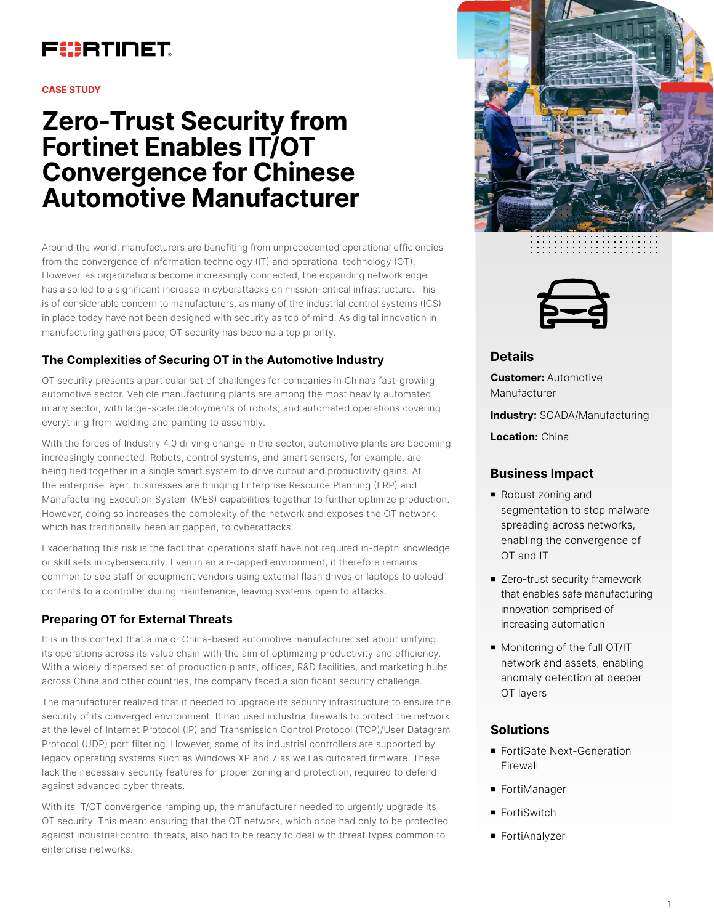

#### **CASE STUDY**

# **Zero-Trust Security from Fortinet Enables IT/OT Convergence for Chinese Automotive Manufacturer**

Around the world, manufacturers are benefiting from unprecedented operational efficiencies from the convergence of information technology (IT) and operational technology (OT). However, as organizations become increasingly connected, the expanding network edge has also led to a significant increase in cyberattacks on mission-critical infrastructure. This is of considerable concern to manufacturers, as many of the industrial control systems (ICS) in place today have not been designed with security as top of mind. As digital innovation in manufacturing gathers pace, OT security has become a top priority.

#### **The Complexities of Securing OT in the Automotive Industry**

OT security presents a particular set of challenges for companies in China's fast-growing automotive sector. Vehicle manufacturing plants are among the most heavily automated in any sector, with large-scale deployments of robots, and automated operations covering everything from welding and painting to assembly.

With the forces of Industry 4.0 driving change in the sector, automotive plants are becoming increasingly connected. Robots, control systems, and smart sensors, for example, are being tied together in a single smart system to drive output and productivity gains. At the enterprise layer, businesses are bringing Enterprise Resource Planning (ERP) and Manufacturing Execution System (MES) capabilities together to further optimize production. However, doing so increases the complexity of the network and exposes the OT network, which has traditionally been air gapped, to cyberattacks.

Exacerbating this risk is the fact that operations staff have not required in-depth knowledge or skill sets in cybersecurity. Even in an air-gapped environment, it therefore remains common to see staff or equipment vendors using external flash drives or laptops to upload contents to a controller during maintenance, leaving systems open to attacks.

## **Preparing OT for External Threats**

It is in this context that a major China-based automotive manufacturer set about unifying its operations across its value chain with the aim of optimizing productivity and efficiency. With a widely dispersed set of production plants, offices, R&D facilities, and marketing hubs across China and other countries, the company faced a significant security challenge.

The manufacturer realized that it needed to upgrade its security infrastructure to ensure the security of its converged environment. It had used industrial firewalls to protect the network at the level of Internet Protocol (IP) and Transmission Control Protocol (TCP)/User Datagram Protocol (UDP) port filtering. However, some of its industrial controllers are supported by legacy operating systems such as Windows XP and 7 as well as outdated firmware. These lack the necessary security features for proper zoning and protection, required to defend against advanced cyber threats.

With its IT/OT convergence ramping up, the manufacturer needed to urgently upgrade its OT security. This meant ensuring that the OT network, which once had only to be protected against industrial control threats, also had to be ready to deal with threat types common to enterprise networks.





### **Details**

**Customer:** Automotive Manufacturer

**Industry:** SCADA/Manufacturing

**Location:** China

## **Business Impact**

- Robust zoning and segmentation to stop malware spreading across networks, enabling the convergence of OT and IT
- Zero-trust security framework that enables safe manufacturing innovation comprised of increasing automation
- $\blacksquare$  Monitoring of the full OT/IT network and assets, enabling anomaly detection at deeper OT layers

## **Solutions**

- **FortiGate Next-Generation** Firewall
- FortiManager
- **FortiSwitch**
- FortiAnalyzer